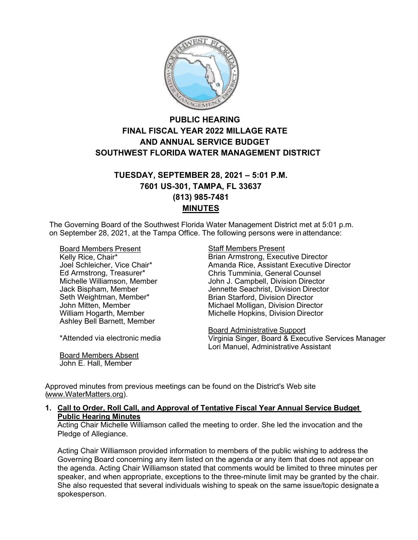

# **PUBLIC HEARING FINAL FISCAL YEAR 2022 MILLAGE RATE AND ANNUAL SERVICE BUDGET SOUTHWEST FLORIDA WATER MANAGEMENT DISTRICT**

# **TUESDAY, SEPTEMBER 28, 2021 – 5:01 P.M. 7601 US-301, TAMPA, FL 33637 (813) 985-7481 MINUTES**

The Governing Board of the Southwest Florida Water Management District met at 5:01 p.m. on September 28, 2021, at the Tampa Office. The following persons were in attendance:

Board Members Present Kelly Rice, Chair\* Joel Schleicher, Vice Chair\* Ed Armstrong, Treasurer\* Michelle Williamson, Member Jack Bispham, Member Seth Weightman, Member\* John Mitten, Member William Hogarth, Member Ashley Bell Barnett, Member

\*Attended via electronic media

Board Members Absent John E. Hall, Member

### Staff Members Present

Brian Armstrong, Executive Director Amanda Rice, Assistant Executive Director Chris Tumminia, General Counsel John J. Campbell, Division Director Jennette Seachrist, Division Director Brian Starford, Division Director Michael Molligan, Division Director Michelle Hopkins, Division Director

Board Administrative Support Virginia Singer, Board & Executive Services Manager Lori Manuel, Administrative Assistant

Approved minutes from previous meetings can be found on the District's Web site [\(www.WaterMatters.org\)](http://www.watermatters.org/).

### **1. Call to Order, Roll Call, and Approval of Tentative Fiscal Year Annual Service Budget Public Hearing Minutes**

Acting Chair Michelle Williamson called the meeting to order. She led the invocation and the Pledge of Allegiance.

Acting Chair Williamson provided information to members of the public wishing to address the Governing Board concerning any item listed on the agenda or any item that does not appear on the agenda. Acting Chair Williamson stated that comments would be limited to three minutes per speaker, and when appropriate, exceptions to the three-minute limit may be granted by the chair. She also requested that several individuals wishing to speak on the same issue/topic designate a spokesperson.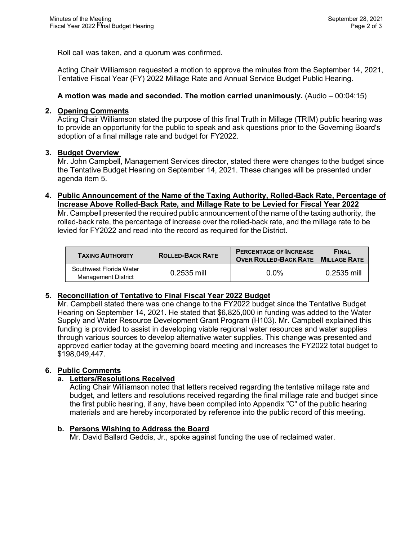Roll call was taken, and a quorum was confirmed.

Acting Chair Williamson requested a motion to approve the minutes from the September 14, 2021, Tentative Fiscal Year (FY) 2022 Millage Rate and Annual Service Budget Public Hearing.

# **A motion was made and seconded. The motion carried unanimously.** (Audio – 00:04:15)

## **2. Opening Comments**

Acting Chair Williamson stated the purpose of this final Truth in Millage (TRIM) public hearing was to provide an opportunity for the public to speak and ask questions prior to the Governing Board's adoption of a final millage rate and budget for FY2022.

### **3. Budget Overview**

Mr. John Campbell, Management Services director, stated there were changes to the budget since the Tentative Budget Hearing on September 14, 2021. These changes will be presented under agenda item 5.

# **4. Public Announcement of the Name of the Taxing Authority, Rolled-Back Rate, Percentage of Increase Above Rolled-Back Rate, and Millage Rate to be Levied for Fiscal Year 2022**

Mr. Campbell presented the required public announcement of the name of the taxing authority, the rolled-back rate, the percentage of increase over the rolled-back rate, and the millage rate to be levied for FY2022 and read into the record as required for the District.

| <b>TAXING AUTHORITY</b>                               | <b>ROLLED-BACK RATE</b> | <b>PERCENTAGE OF INCREASE</b><br><b>OVER ROLLED-BACK RATE MILLAGE RATE</b> | <b>FINAL</b> |
|-------------------------------------------------------|-------------------------|----------------------------------------------------------------------------|--------------|
| Southwest Florida Water<br><b>Management District</b> | $0.2535$ mill           | $0.0\%$                                                                    | 0.2535 mill  |

# **5. Reconciliation of Tentative to Final Fiscal Year 2022 Budget**

Mr. Campbell stated there was one change to the FY2022 budget since the Tentative Budget Hearing on September 14, 2021. He stated that \$6,825,000 in funding was added to the Water Supply and Water Resource Development Grant Program (H103). Mr. Campbell explained this funding is provided to assist in developing viable regional water resources and water supplies through various sources to develop alternative water supplies. This change was presented and approved earlier today at the governing board meeting and increases the FY2022 total budget to \$198,049,447.

# **6. Public Comments**

# **a. Letters/Resolutions Received**

Acting Chair Williamson noted that letters received regarding the tentative millage rate and budget, and letters and resolutions received regarding the final millage rate and budget since the first public hearing, if any, have been compiled into Appendix "C" of the public hearing materials and are hereby incorporated by reference into the public record of this meeting.

# **b. Persons Wishing to Address the Board**

Mr. David Ballard Geddis, Jr., spoke against funding the use of reclaimed water.